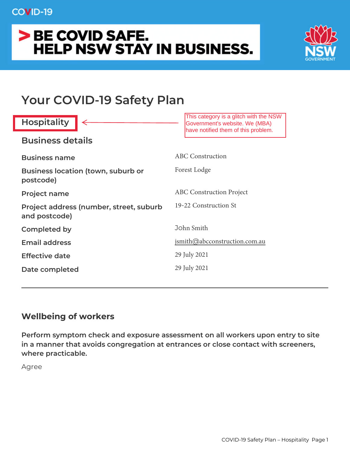# > BE COVID SAFE. **HELP NSW STAY IN BUSINESS.**



# **Your COVID-19 Safety Plan**

| <b>Hospitality</b>                                       | This category is a glitch with the NSW<br>Government's website. We (MBA)<br>have notified them of this problem. |
|----------------------------------------------------------|-----------------------------------------------------------------------------------------------------------------|
| <b>Business details</b>                                  |                                                                                                                 |
| <b>Business name</b>                                     | <b>ABC</b> Construction                                                                                         |
| <b>Business location (town, suburb or</b><br>postcode)   | Forest Lodge                                                                                                    |
| <b>Project name</b>                                      | <b>ABC</b> Construction Project                                                                                 |
| Project address (number, street, suburb<br>and postcode) | 19-22 Construction St                                                                                           |
| <b>Completed by</b>                                      | John Smith                                                                                                      |
| <b>Email address</b>                                     | jsmith@abcconstruction.com.au                                                                                   |
| <b>Effective date</b>                                    | 29 July 2021                                                                                                    |
| Date completed                                           | 29 July 2021                                                                                                    |

### **Wellbeing of workers**

**Perform symptom check and exposure assessment on all workers upon entry to site in a manner that avoids congregation at entrances or close contact with screeners, where practicable.**

Agree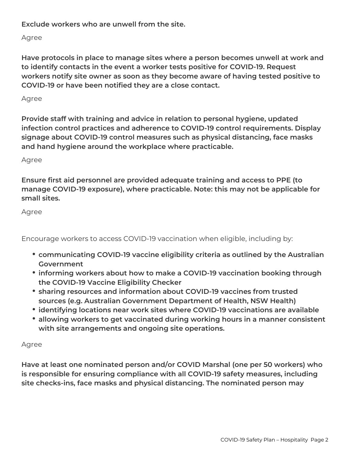**Exclude workers who are unwell from the site.**

Agree

**Have protocols in place to manage sites where a person becomes unwell at work and to identify contacts in the event a worker tests positive for COVID-19. Request workers notify site owner as soon as they become aware of having tested positive to COVID-19 or have been notified they are a close contact.**

Agree

**Provide staff with training and advice in relation to personal hygiene, updated infection control practices and adherence to COVID-19 control requirements. Display signage about COVID-19 control measures such as physical distancing, face masks and hand hygiene around the workplace where practicable.**

Agree

**Ensure first aid personnel are provided adequate training and access to PPE (to manage COVID-19 exposure), where practicable. Note: this may not be applicable for small sites.**

Agree

Encourage workers to access COVID-19 vaccination when eligible, including by:

- **communicating COVID-19 vaccine eligibility criteria as outlined by the Australian Government**
- **informing workers about how to make a COVID-19 vaccination booking through the COVID-19 Vaccine Eligibility Checker**
- **sharing resources and information about COVID-19 vaccines from trusted sources (e.g. Australian Government Department of Health, NSW Health)**
- **identifying locations near work sites where COVID-19 vaccinations are available**
- **allowing workers to get vaccinated during working hours in a manner consistent with site arrangements and ongoing site operations.**

#### Agree

**Have at least one nominated person and/or COVID Marshal (one per 50 workers) who is responsible for ensuring compliance with all COVID-19 safety measures, including site checks-ins, face masks and physical distancing. The nominated person may**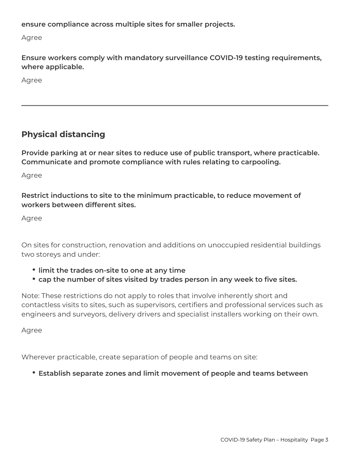**ensure compliance across multiple sites for smaller projects.**

Agree

**Ensure workers comply with mandatory surveillance COVID-19 testing requirements, where applicable.**

Agree

## **Physical distancing**

**Provide parking at or near sites to reduce use of public transport, where practicable. Communicate and promote compliance with rules relating to carpooling.**

Agree

**Restrict inductions to site to the minimum practicable, to reduce movement of workers between different sites.**

Agree

On sites for construction, renovation and additions on unoccupied residential buildings two storeys and under:

- **limit the trades on-site to one at any time**
- **cap the number of sites visited by trades person in any week to five sites.**

Note: These restrictions do not apply to roles that involve inherently short and contactless visits to sites, such as supervisors, certifiers and professional services such as engineers and surveyors, delivery drivers and specialist installers working on their own.

Agree

Wherever practicable, create separation of people and teams on site:

**Establish separate zones and limit movement of people and teams between**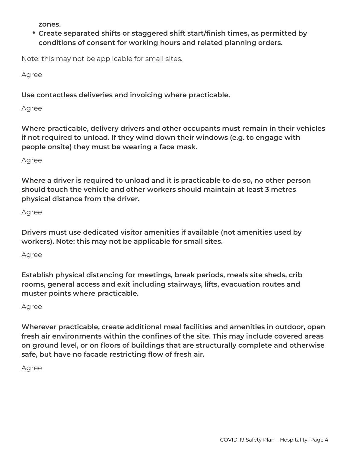**zones.**

**Create separated shifts or staggered shift start/finish times, as permitted by conditions of consent for working hours and related planning orders.**

Note: this may not be applicable for small sites.

Agree

**Use contactless deliveries and invoicing where practicable.**

Agree

**Where practicable, delivery drivers and other occupants must remain in their vehicles if not required to unload. If they wind down their windows (e.g. to engage with people onsite) they must be wearing a face mask.**

Agree

**Where a driver is required to unload and it is practicable to do so, no other person should touch the vehicle and other workers should maintain at least 3 metres physical distance from the driver.**

Agree

**Drivers must use dedicated visitor amenities if available (not amenities used by workers). Note: this may not be applicable for small sites.**

Agree

**Establish physical distancing for meetings, break periods, meals site sheds, crib rooms, general access and exit including stairways, lifts, evacuation routes and muster points where practicable.**

#### Agree

**Wherever practicable, create additional meal facilities and amenities in outdoor, open fresh air environments within the confines of the site. This may include covered areas on ground level, or on floors of buildings that are structurally complete and otherwise safe, but have no facade restricting flow of fresh air.**

Agree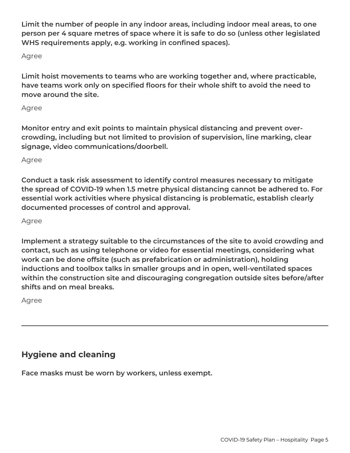**Limit the number of people in any indoor areas, including indoor meal areas, to one person per 4 square metres of space where it is safe to do so (unless other legislated WHS requirements apply, e.g. working in confined spaces).**

Agree

**Limit hoist movements to teams who are working together and, where practicable, have teams work only on specified floors for their whole shift to avoid the need to move around the site.**

#### Agree

**Monitor entry and exit points to maintain physical distancing and prevent overcrowding, including but not limited to provision of supervision, line marking, clear signage, video communications/doorbell.**

Agree

**Conduct a task risk assessment to identify control measures necessary to mitigate the spread of COVID-19 when 1.5 metre physical distancing cannot be adhered to. For essential work activities where physical distancing is problematic, establish clearly documented processes of control and approval.**

Agree

**Implement a strategy suitable to the circumstances of the site to avoid crowding and contact, such as using telephone or video for essential meetings, considering what work can be done offsite (such as prefabrication or administration), holding inductions and toolbox talks in smaller groups and in open, well-ventilated spaces within the construction site and discouraging congregation outside sites before/after shifts and on meal breaks.**

Agree

## **Hygiene and cleaning**

**Face masks must be worn by workers, unless exempt.**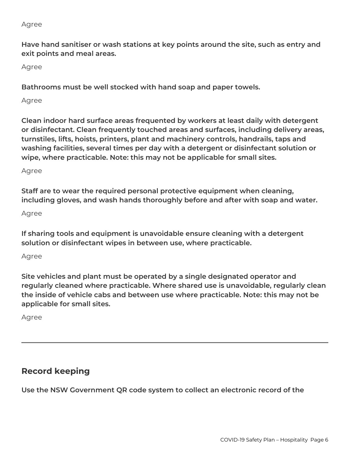#### Agree

**Have hand sanitiser or wash stations at key points around the site, such as entry and exit points and meal areas.**

Agree

**Bathrooms must be well stocked with hand soap and paper towels.**

Agree

**Clean indoor hard surface areas frequented by workers at least daily with detergent or disinfectant. Clean frequently touched areas and surfaces, including delivery areas, turnstiles, lifts, hoists, printers, plant and machinery controls, handrails, taps and washing facilities, several times per day with a detergent or disinfectant solution or wipe, where practicable. Note: this may not be applicable for small sites.**

#### Agree

**Staff are to wear the required personal protective equipment when cleaning, including gloves, and wash hands thoroughly before and after with soap and water.**

Agree

**If sharing tools and equipment is unavoidable ensure cleaning with a detergent solution or disinfectant wipes in between use, where practicable.**

#### Agree

**Site vehicles and plant must be operated by a single designated operator and regularly cleaned where practicable. Where shared use is unavoidable, regularly clean the inside of vehicle cabs and between use where practicable. Note: this may not be applicable for small sites.**

Agree

### **Record keeping**

**Use the NSW Government QR code system to collect an electronic record of the**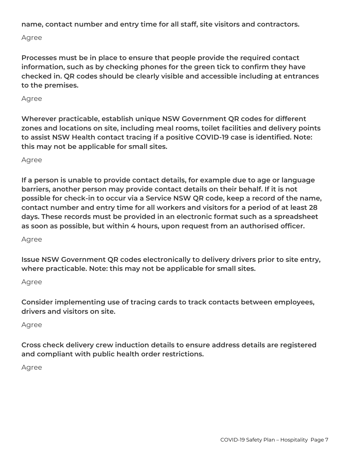**name, contact number and entry time for all staff, site visitors and contractors.**

Agree

**Processes must be in place to ensure that people provide the required contact information, such as by checking phones for the green tick to confirm they have checked in. QR codes should be clearly visible and accessible including at entrances to the premises.**

Agree

**Wherever practicable, establish unique NSW Government QR codes for different zones and locations on site, including meal rooms, toilet facilities and delivery points to assist NSW Health contact tracing if a positive COVID-19 case is identified. Note: this may not be applicable for small sites.**

Agree

**If a person is unable to provide contact details, for example due to age or language barriers, another person may provide contact details on their behalf. If it is not possible for check-in to occur via a Service NSW QR code, keep a record of the name, contact number and entry time for all workers and visitors for a period of at least 28 days. These records must be provided in an electronic format such as a spreadsheet as soon as possible, but within 4 hours, upon request from an authorised officer.**

Agree

**Issue NSW Government QR codes electronically to delivery drivers prior to site entry, where practicable. Note: this may not be applicable for small sites.**

Agree

**Consider implementing use of tracing cards to track contacts between employees, drivers and visitors on site.**

Agree

**Cross check delivery crew induction details to ensure address details are registered and compliant with public health order restrictions.**

Agree